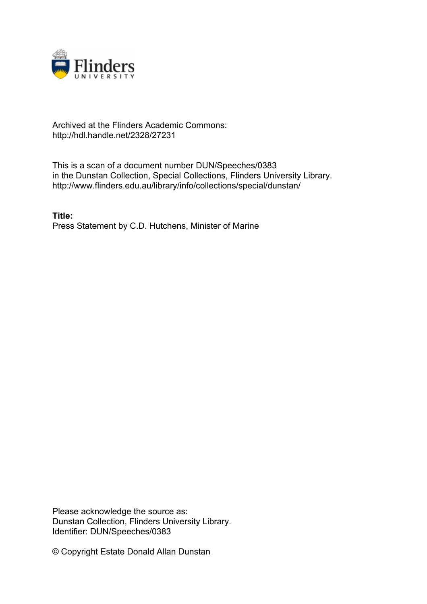

## Archived at the Flinders Academic Commons: http://hdl.handle.net/2328/27231

This is a scan of a document number DUN/Speeches/0383 in the Dunstan Collection, Special Collections, Flinders University Library. http://www.flinders.edu.au/library/info/collections/special/dunstan/

**Title:** Press Statement by C.D. Hutchens, Minister of Marine

Please acknowledge the source as: Dunstan Collection, Flinders University Library. Identifier: DUN/Speeches/0383

© Copyright Estate Donald Allan Dunstan